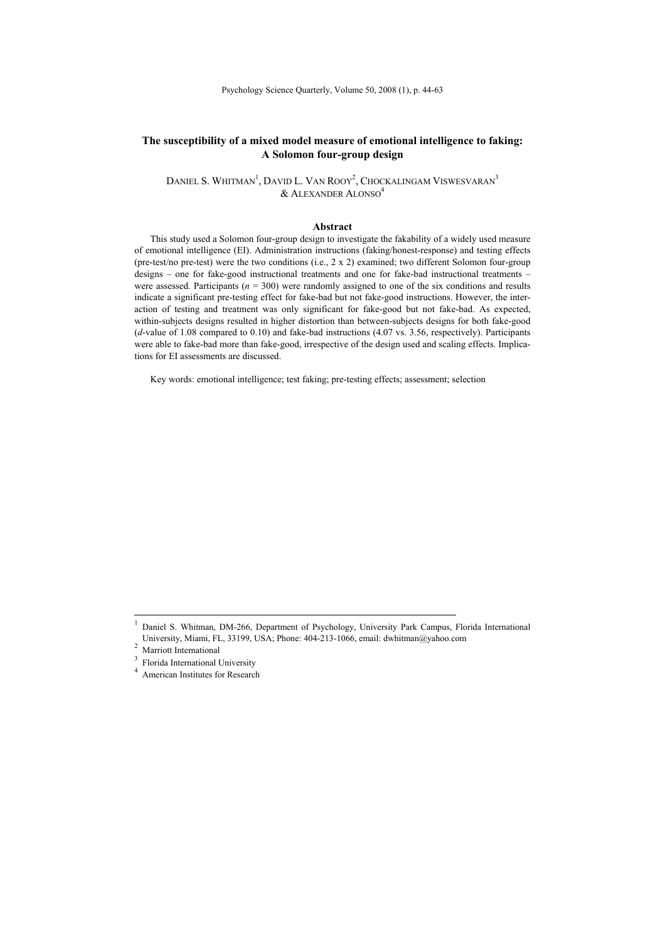# **The susceptibility of a mixed model measure of emotional intelligence to faking: A Solomon four-group design**

DANIEL S. WHITMAN<sup>1</sup>, DAVID L. VAN ROOY<sup>2</sup>, CHOCKALINGAM VISWESVARAN<sup>3</sup>  $&$  ALEXANDER ALONSO<sup>4</sup>

#### **Abstract**

This study used a Solomon four-group design to investigate the fakability of a widely used measure of emotional intelligence (EI). Administration instructions (faking/honest-response) and testing effects (pre-test/no pre-test) were the two conditions (i.e., 2 x 2) examined; two different Solomon four-group designs – one for fake-good instructional treatments and one for fake-bad instructional treatments – were assessed. Participants  $(n = 300)$  were randomly assigned to one of the six conditions and results indicate a significant pre-testing effect for fake-bad but not fake-good instructions. However, the interaction of testing and treatment was only significant for fake-good but not fake-bad. As expected, within-subjects designs resulted in higher distortion than between-subjects designs for both fake-good (*d*-value of 1.08 compared to 0.10) and fake-bad instructions (4.07 vs. 3.56, respectively). Participants were able to fake-bad more than fake-good, irrespective of the design used and scaling effects. Implications for EI assessments are discussed.

Key words: emotional intelligence; test faking; pre-testing effects; assessment; selection

 <sup>1</sup> Daniel S. Whitman, DM-266, Department of Psychology, University Park Campus, Florida International University, Miami, FL, 33199, USA; Phone: 404-213-1066, email: dwhitman@yahoo.com

Marriott International

<sup>3</sup> Florida International University

<sup>4</sup> American Institutes for Research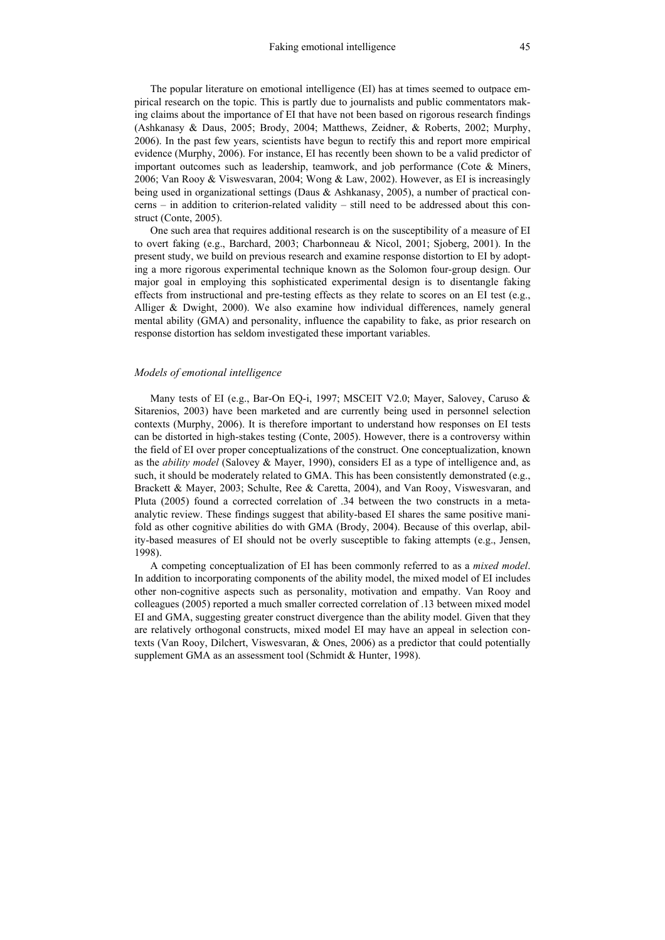The popular literature on emotional intelligence (EI) has at times seemed to outpace empirical research on the topic. This is partly due to journalists and public commentators making claims about the importance of EI that have not been based on rigorous research findings (Ashkanasy & Daus, 2005; Brody, 2004; Matthews, Zeidner, & Roberts, 2002; Murphy, 2006). In the past few years, scientists have begun to rectify this and report more empirical evidence (Murphy, 2006). For instance, EI has recently been shown to be a valid predictor of important outcomes such as leadership, teamwork, and job performance (Cote  $\&$  Miners, 2006; Van Rooy & Viswesvaran, 2004; Wong & Law, 2002). However, as EI is increasingly being used in organizational settings (Daus & Ashkanasy, 2005), a number of practical concerns – in addition to criterion-related validity – still need to be addressed about this construct (Conte, 2005).

One such area that requires additional research is on the susceptibility of a measure of EI to overt faking (e.g., Barchard, 2003; Charbonneau & Nicol, 2001; Sjoberg, 2001). In the present study, we build on previous research and examine response distortion to EI by adopting a more rigorous experimental technique known as the Solomon four-group design. Our major goal in employing this sophisticated experimental design is to disentangle faking effects from instructional and pre-testing effects as they relate to scores on an EI test (e.g., Alliger & Dwight, 2000). We also examine how individual differences, namely general mental ability (GMA) and personality, influence the capability to fake, as prior research on response distortion has seldom investigated these important variables.

### *Models of emotional intelligence*

Many tests of EI (e.g., Bar-On EQ-i, 1997; MSCEIT V2.0; Mayer, Salovey, Caruso & Sitarenios, 2003) have been marketed and are currently being used in personnel selection contexts (Murphy, 2006). It is therefore important to understand how responses on EI tests can be distorted in high-stakes testing (Conte, 2005). However, there is a controversy within the field of EI over proper conceptualizations of the construct. One conceptualization, known as the *ability model* (Salovey & Mayer, 1990), considers EI as a type of intelligence and, as such, it should be moderately related to GMA. This has been consistently demonstrated (e.g., Brackett & Mayer, 2003; Schulte, Ree & Caretta, 2004), and Van Rooy, Viswesvaran, and Pluta (2005) found a corrected correlation of .34 between the two constructs in a metaanalytic review. These findings suggest that ability-based EI shares the same positive manifold as other cognitive abilities do with GMA (Brody, 2004). Because of this overlap, ability-based measures of EI should not be overly susceptible to faking attempts (e.g., Jensen, 1998).

A competing conceptualization of EI has been commonly referred to as a *mixed model*. In addition to incorporating components of the ability model, the mixed model of EI includes other non-cognitive aspects such as personality, motivation and empathy. Van Rooy and colleagues (2005) reported a much smaller corrected correlation of .13 between mixed model EI and GMA, suggesting greater construct divergence than the ability model. Given that they are relatively orthogonal constructs, mixed model EI may have an appeal in selection contexts (Van Rooy, Dilchert, Viswesvaran, & Ones, 2006) as a predictor that could potentially supplement GMA as an assessment tool (Schmidt & Hunter, 1998).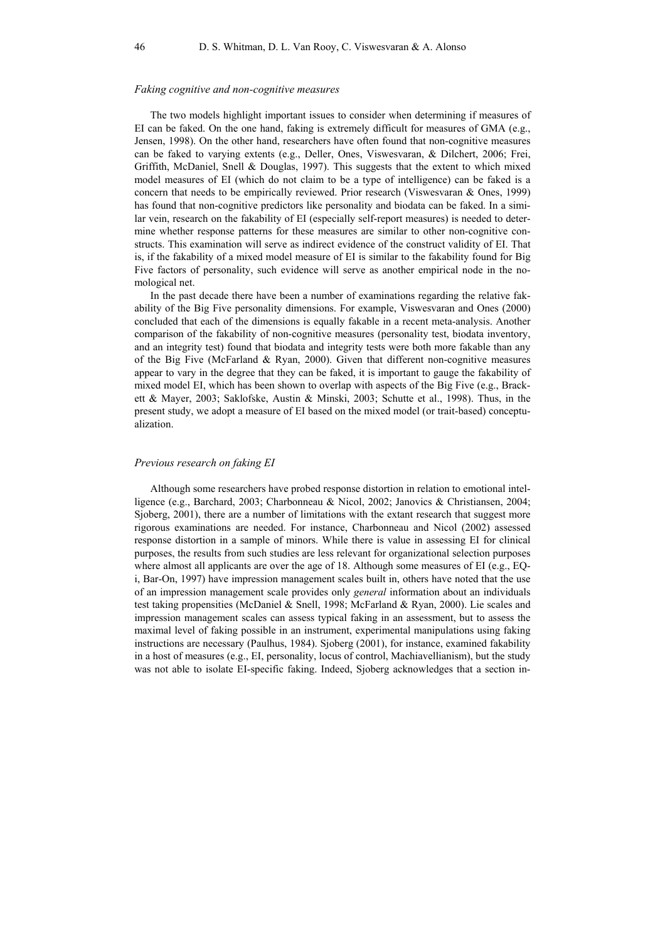#### *Faking cognitive and non-cognitive measures*

The two models highlight important issues to consider when determining if measures of EI can be faked. On the one hand, faking is extremely difficult for measures of GMA (e.g., Jensen, 1998). On the other hand, researchers have often found that non-cognitive measures can be faked to varying extents (e.g., Deller, Ones, Viswesvaran, & Dilchert, 2006; Frei, Griffith, McDaniel, Snell & Douglas, 1997). This suggests that the extent to which mixed model measures of EI (which do not claim to be a type of intelligence) can be faked is a concern that needs to be empirically reviewed. Prior research (Viswesvaran & Ones, 1999) has found that non-cognitive predictors like personality and biodata can be faked. In a similar vein, research on the fakability of EI (especially self-report measures) is needed to determine whether response patterns for these measures are similar to other non-cognitive constructs. This examination will serve as indirect evidence of the construct validity of EI. That is, if the fakability of a mixed model measure of EI is similar to the fakability found for Big Five factors of personality, such evidence will serve as another empirical node in the nomological net.

In the past decade there have been a number of examinations regarding the relative fakability of the Big Five personality dimensions. For example, Viswesvaran and Ones (2000) concluded that each of the dimensions is equally fakable in a recent meta-analysis. Another comparison of the fakability of non-cognitive measures (personality test, biodata inventory, and an integrity test) found that biodata and integrity tests were both more fakable than any of the Big Five (McFarland  $&$  Ryan, 2000). Given that different non-cognitive measures appear to vary in the degree that they can be faked, it is important to gauge the fakability of mixed model EI, which has been shown to overlap with aspects of the Big Five (e.g., Brackett & Mayer, 2003; Saklofske, Austin & Minski, 2003; Schutte et al., 1998). Thus, in the present study, we adopt a measure of EI based on the mixed model (or trait-based) conceptualization.

## *Previous research on faking EI*

Although some researchers have probed response distortion in relation to emotional intelligence (e.g., Barchard, 2003; Charbonneau & Nicol, 2002; Janovics & Christiansen, 2004; Sjoberg, 2001), there are a number of limitations with the extant research that suggest more rigorous examinations are needed. For instance, Charbonneau and Nicol (2002) assessed response distortion in a sample of minors. While there is value in assessing EI for clinical purposes, the results from such studies are less relevant for organizational selection purposes where almost all applicants are over the age of 18. Although some measures of EI (e.g., EQi, Bar-On, 1997) have impression management scales built in, others have noted that the use of an impression management scale provides only *general* information about an individuals test taking propensities (McDaniel & Snell, 1998; McFarland & Ryan, 2000). Lie scales and impression management scales can assess typical faking in an assessment, but to assess the maximal level of faking possible in an instrument, experimental manipulations using faking instructions are necessary (Paulhus, 1984). Sjoberg (2001), for instance, examined fakability in a host of measures (e.g., EI, personality, locus of control, Machiavellianism), but the study was not able to isolate EI-specific faking. Indeed, Sjoberg acknowledges that a section in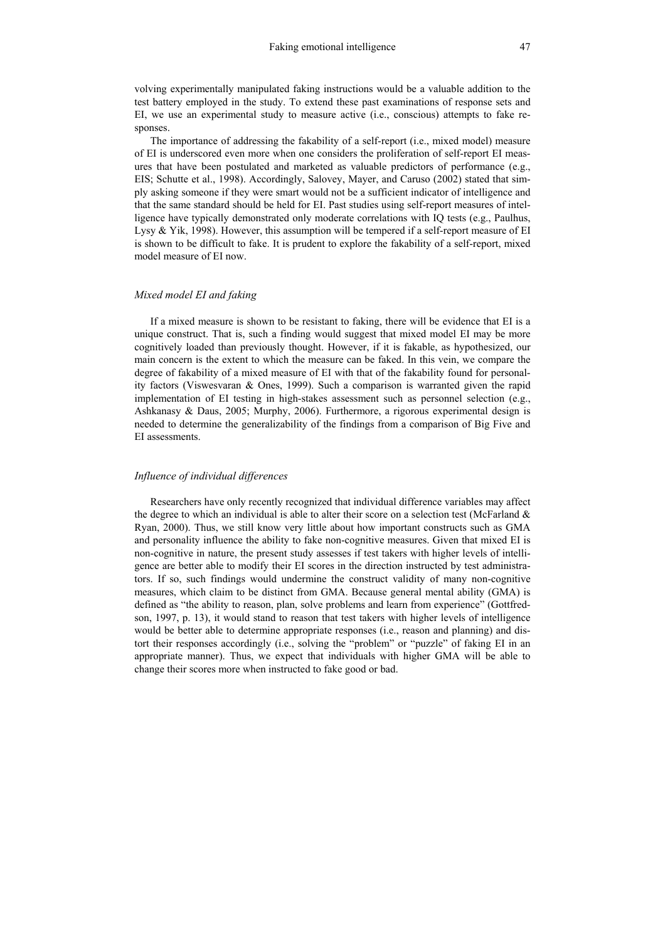volving experimentally manipulated faking instructions would be a valuable addition to the test battery employed in the study. To extend these past examinations of response sets and EI, we use an experimental study to measure active (i.e., conscious) attempts to fake responses.

The importance of addressing the fakability of a self-report (i.e., mixed model) measure of EI is underscored even more when one considers the proliferation of self-report EI measures that have been postulated and marketed as valuable predictors of performance (e.g., EIS; Schutte et al., 1998). Accordingly, Salovey, Mayer, and Caruso (2002) stated that simply asking someone if they were smart would not be a sufficient indicator of intelligence and that the same standard should be held for EI. Past studies using self-report measures of intelligence have typically demonstrated only moderate correlations with IQ tests (e.g., Paulhus, Lysy & Yik, 1998). However, this assumption will be tempered if a self-report measure of EI is shown to be difficult to fake. It is prudent to explore the fakability of a self-report, mixed model measure of EI now.

### *Mixed model EI and faking*

If a mixed measure is shown to be resistant to faking, there will be evidence that EI is a unique construct. That is, such a finding would suggest that mixed model EI may be more cognitively loaded than previously thought. However, if it is fakable, as hypothesized, our main concern is the extent to which the measure can be faked. In this vein, we compare the degree of fakability of a mixed measure of EI with that of the fakability found for personality factors (Viswesvaran & Ones, 1999). Such a comparison is warranted given the rapid implementation of EI testing in high-stakes assessment such as personnel selection (e.g., Ashkanasy & Daus, 2005; Murphy, 2006). Furthermore, a rigorous experimental design is needed to determine the generalizability of the findings from a comparison of Big Five and EI assessments.

### *Influence of individual differences*

Researchers have only recently recognized that individual difference variables may affect the degree to which an individual is able to alter their score on a selection test (McFarland  $\&$ Ryan, 2000). Thus, we still know very little about how important constructs such as GMA and personality influence the ability to fake non-cognitive measures. Given that mixed EI is non-cognitive in nature, the present study assesses if test takers with higher levels of intelligence are better able to modify their EI scores in the direction instructed by test administrators. If so, such findings would undermine the construct validity of many non-cognitive measures, which claim to be distinct from GMA. Because general mental ability (GMA) is defined as "the ability to reason, plan, solve problems and learn from experience" (Gottfredson, 1997, p. 13), it would stand to reason that test takers with higher levels of intelligence would be better able to determine appropriate responses (i.e., reason and planning) and distort their responses accordingly (i.e., solving the "problem" or "puzzle" of faking EI in an appropriate manner). Thus, we expect that individuals with higher GMA will be able to change their scores more when instructed to fake good or bad.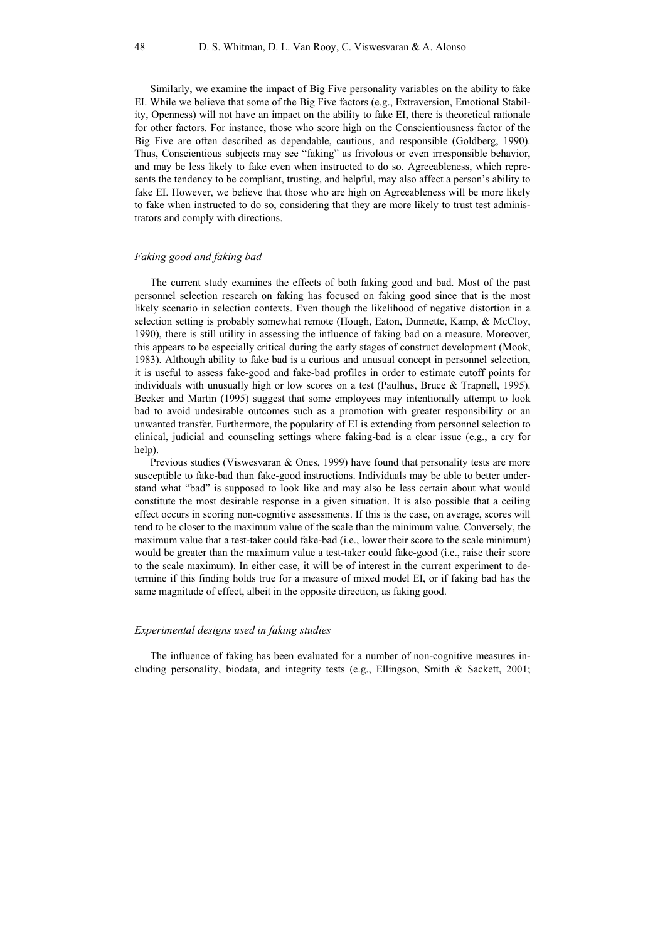Similarly, we examine the impact of Big Five personality variables on the ability to fake EI. While we believe that some of the Big Five factors (e.g., Extraversion, Emotional Stability, Openness) will not have an impact on the ability to fake EI, there is theoretical rationale for other factors. For instance, those who score high on the Conscientiousness factor of the Big Five are often described as dependable, cautious, and responsible (Goldberg, 1990). Thus, Conscientious subjects may see "faking" as frivolous or even irresponsible behavior, and may be less likely to fake even when instructed to do so. Agreeableness, which represents the tendency to be compliant, trusting, and helpful, may also affect a person's ability to fake EI. However, we believe that those who are high on Agreeableness will be more likely to fake when instructed to do so, considering that they are more likely to trust test administrators and comply with directions.

### *Faking good and faking bad*

The current study examines the effects of both faking good and bad. Most of the past personnel selection research on faking has focused on faking good since that is the most likely scenario in selection contexts. Even though the likelihood of negative distortion in a selection setting is probably somewhat remote (Hough, Eaton, Dunnette, Kamp, & McCloy, 1990), there is still utility in assessing the influence of faking bad on a measure. Moreover, this appears to be especially critical during the early stages of construct development (Mook, 1983). Although ability to fake bad is a curious and unusual concept in personnel selection, it is useful to assess fake-good and fake-bad profiles in order to estimate cutoff points for individuals with unusually high or low scores on a test (Paulhus, Bruce  $\&$  Trapnell, 1995). Becker and Martin (1995) suggest that some employees may intentionally attempt to look bad to avoid undesirable outcomes such as a promotion with greater responsibility or an unwanted transfer. Furthermore, the popularity of EI is extending from personnel selection to clinical, judicial and counseling settings where faking-bad is a clear issue (e.g., a cry for help).

Previous studies (Viswesvaran & Ones, 1999) have found that personality tests are more susceptible to fake-bad than fake-good instructions. Individuals may be able to better understand what "bad" is supposed to look like and may also be less certain about what would constitute the most desirable response in a given situation. It is also possible that a ceiling effect occurs in scoring non-cognitive assessments. If this is the case, on average, scores will tend to be closer to the maximum value of the scale than the minimum value. Conversely, the maximum value that a test-taker could fake-bad (i.e., lower their score to the scale minimum) would be greater than the maximum value a test-taker could fake-good (i.e., raise their score to the scale maximum). In either case, it will be of interest in the current experiment to determine if this finding holds true for a measure of mixed model EI, or if faking bad has the same magnitude of effect, albeit in the opposite direction, as faking good.

## *Experimental designs used in faking studies*

The influence of faking has been evaluated for a number of non-cognitive measures including personality, biodata, and integrity tests (e.g., Ellingson, Smith & Sackett, 2001;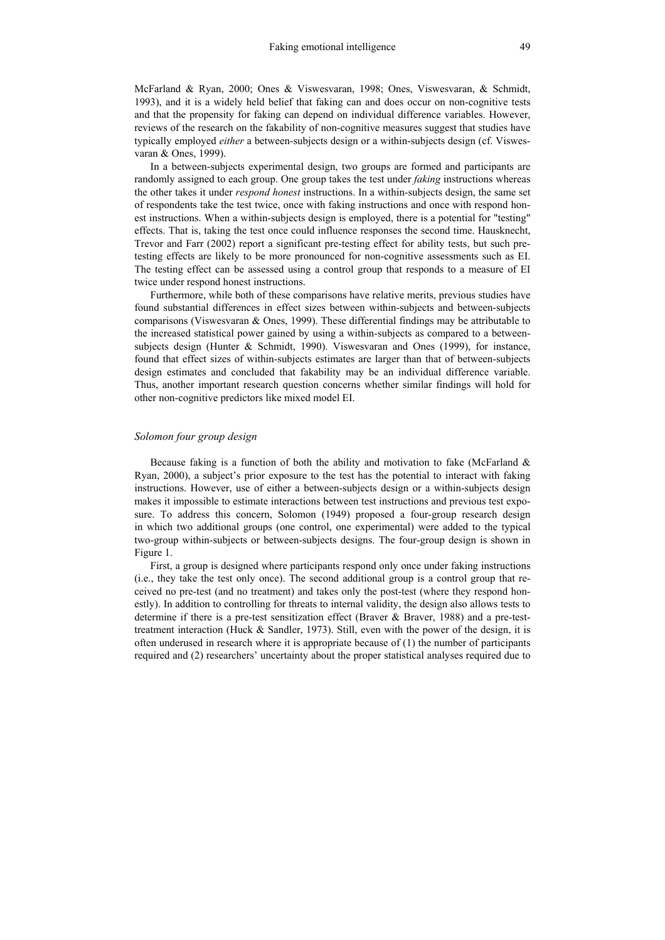McFarland & Ryan, 2000; Ones & Viswesvaran, 1998; Ones, Viswesvaran, & Schmidt, 1993), and it is a widely held belief that faking can and does occur on non-cognitive tests and that the propensity for faking can depend on individual difference variables. However, reviews of the research on the fakability of non-cognitive measures suggest that studies have typically employed *either* a between-subjects design or a within-subjects design (cf. Viswesvaran & Ones, 1999).

In a between-subjects experimental design, two groups are formed and participants are randomly assigned to each group. One group takes the test under *faking* instructions whereas the other takes it under *respond honest* instructions. In a within-subjects design, the same set of respondents take the test twice, once with faking instructions and once with respond honest instructions. When a within-subjects design is employed, there is a potential for "testing" effects. That is, taking the test once could influence responses the second time. Hausknecht, Trevor and Farr (2002) report a significant pre-testing effect for ability tests, but such pretesting effects are likely to be more pronounced for non-cognitive assessments such as EI. The testing effect can be assessed using a control group that responds to a measure of EI twice under respond honest instructions.

Furthermore, while both of these comparisons have relative merits, previous studies have found substantial differences in effect sizes between within-subjects and between-subjects comparisons (Viswesvaran & Ones, 1999). These differential findings may be attributable to the increased statistical power gained by using a within-subjects as compared to a betweensubjects design (Hunter & Schmidt, 1990). Viswesvaran and Ones (1999), for instance, found that effect sizes of within-subjects estimates are larger than that of between-subjects design estimates and concluded that fakability may be an individual difference variable. Thus, another important research question concerns whether similar findings will hold for other non-cognitive predictors like mixed model EI.

## *Solomon four group design*

Because faking is a function of both the ability and motivation to fake (McFarland  $\&$ Ryan, 2000), a subject's prior exposure to the test has the potential to interact with faking instructions. However, use of either a between-subjects design or a within-subjects design makes it impossible to estimate interactions between test instructions and previous test exposure. To address this concern, Solomon (1949) proposed a four-group research design in which two additional groups (one control, one experimental) were added to the typical two-group within-subjects or between-subjects designs. The four-group design is shown in Figure 1.

First, a group is designed where participants respond only once under faking instructions (i.e., they take the test only once). The second additional group is a control group that received no pre-test (and no treatment) and takes only the post-test (where they respond honestly). In addition to controlling for threats to internal validity, the design also allows tests to determine if there is a pre-test sensitization effect (Braver & Braver, 1988) and a pre-testtreatment interaction (Huck  $&$  Sandler, 1973). Still, even with the power of the design, it is often underused in research where it is appropriate because of (1) the number of participants required and (2) researchers' uncertainty about the proper statistical analyses required due to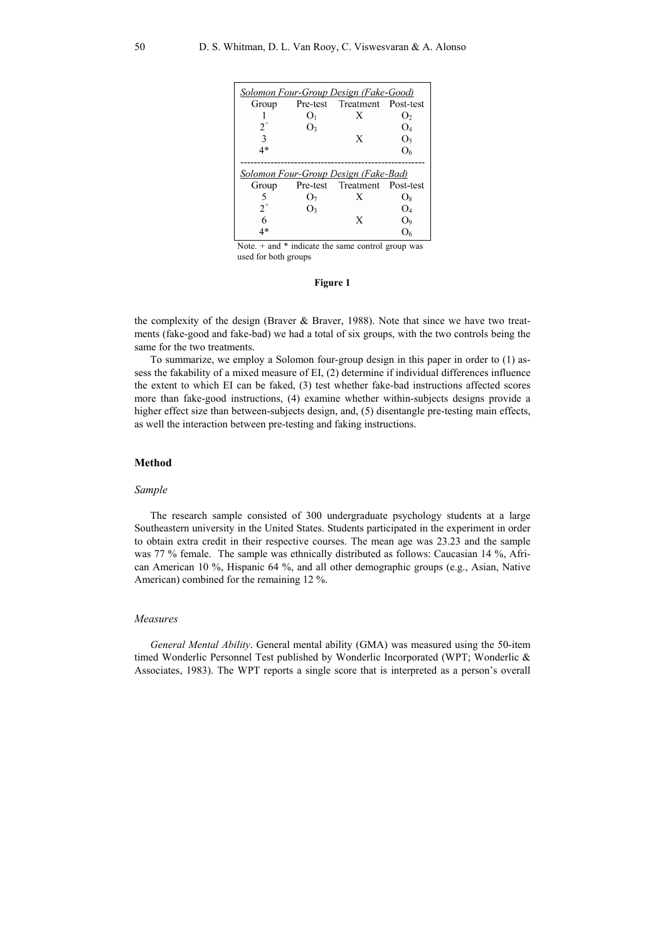|       |                | Solomon Four-Group Design (Fake-Good) |                |
|-------|----------------|---------------------------------------|----------------|
| Group |                | Pre-test Treatment Post-test          |                |
|       | O <sub>1</sub> | X                                     | O <sub>2</sub> |
| $2^+$ | O <sub>3</sub> |                                       | O4             |
|       |                | X                                     | Ο,             |
| 4*    |                |                                       | Oκ             |
|       |                |                                       |                |
|       |                | Solomon Four-Group Design (Fake-Bad)  |                |
| Group |                | Pre-test Treatment Post-test          |                |
| 5     | O <sub>7</sub> | X                                     | $O_8$          |
| $2^+$ | O <sub>3</sub> |                                       | O4             |
|       |                | X                                     | Oo             |
| ⁄l *  |                |                                       |                |

Note.  $+$  and  $*$  indicate the same control group was used for both groups

## **Figure 1**

the complexity of the design (Braver  $\&$  Braver, 1988). Note that since we have two treatments (fake-good and fake-bad) we had a total of six groups, with the two controls being the same for the two treatments.

To summarize, we employ a Solomon four-group design in this paper in order to (1) assess the fakability of a mixed measure of EI, (2) determine if individual differences influence the extent to which EI can be faked, (3) test whether fake-bad instructions affected scores more than fake-good instructions, (4) examine whether within-subjects designs provide a higher effect size than between-subjects design, and, (5) disentangle pre-testing main effects, as well the interaction between pre-testing and faking instructions.

## **Method**

### *Sample*

The research sample consisted of 300 undergraduate psychology students at a large Southeastern university in the United States. Students participated in the experiment in order to obtain extra credit in their respective courses. The mean age was 23.23 and the sample was 77 % female. The sample was ethnically distributed as follows: Caucasian 14 %, African American 10 %, Hispanic 64 %, and all other demographic groups (e.g., Asian, Native American) combined for the remaining 12 %.

## *Measures*

*General Mental Ability*. General mental ability (GMA) was measured using the 50-item timed Wonderlic Personnel Test published by Wonderlic Incorporated (WPT; Wonderlic & Associates, 1983). The WPT reports a single score that is interpreted as a person's overall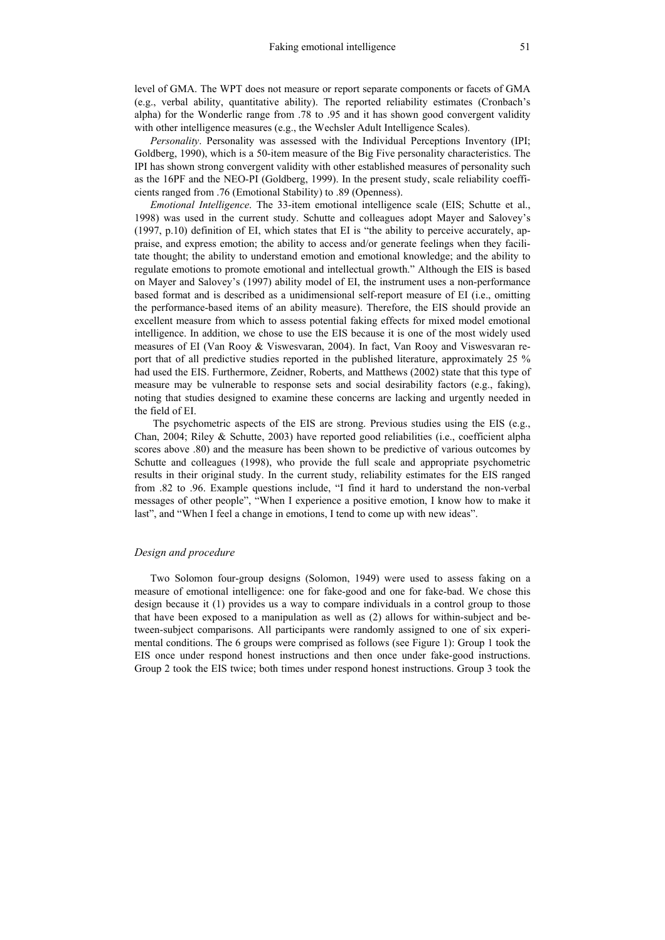level of GMA. The WPT does not measure or report separate components or facets of GMA (e.g., verbal ability, quantitative ability). The reported reliability estimates (Cronbach's alpha) for the Wonderlic range from .78 to .95 and it has shown good convergent validity with other intelligence measures (e.g., the Wechsler Adult Intelligence Scales).

*Personality*. Personality was assessed with the Individual Perceptions Inventory (IPI; Goldberg, 1990), which is a 50-item measure of the Big Five personality characteristics. The IPI has shown strong convergent validity with other established measures of personality such as the 16PF and the NEO-PI (Goldberg, 1999). In the present study, scale reliability coefficients ranged from .76 (Emotional Stability) to .89 (Openness).

*Emotional Intelligence*. The 33-item emotional intelligence scale (EIS; Schutte et al., 1998) was used in the current study. Schutte and colleagues adopt Mayer and Salovey's (1997, p.10) definition of EI, which states that EI is "the ability to perceive accurately, appraise, and express emotion; the ability to access and/or generate feelings when they facilitate thought; the ability to understand emotion and emotional knowledge; and the ability to regulate emotions to promote emotional and intellectual growth." Although the EIS is based on Mayer and Salovey's (1997) ability model of EI, the instrument uses a non-performance based format and is described as a unidimensional self-report measure of EI (i.e., omitting the performance-based items of an ability measure). Therefore, the EIS should provide an excellent measure from which to assess potential faking effects for mixed model emotional intelligence. In addition, we chose to use the EIS because it is one of the most widely used measures of EI (Van Rooy & Viswesvaran, 2004). In fact, Van Rooy and Viswesvaran report that of all predictive studies reported in the published literature, approximately 25 % had used the EIS. Furthermore, Zeidner, Roberts, and Matthews (2002) state that this type of measure may be vulnerable to response sets and social desirability factors (e.g., faking), noting that studies designed to examine these concerns are lacking and urgently needed in the field of EI.

 The psychometric aspects of the EIS are strong. Previous studies using the EIS (e.g., Chan, 2004; Riley & Schutte, 2003) have reported good reliabilities (i.e., coefficient alpha scores above .80) and the measure has been shown to be predictive of various outcomes by Schutte and colleagues (1998), who provide the full scale and appropriate psychometric results in their original study. In the current study, reliability estimates for the EIS ranged from .82 to .96. Example questions include, "I find it hard to understand the non-verbal messages of other people", "When I experience a positive emotion, I know how to make it last", and "When I feel a change in emotions, I tend to come up with new ideas".

#### *Design and procedure*

Two Solomon four-group designs (Solomon, 1949) were used to assess faking on a measure of emotional intelligence: one for fake-good and one for fake-bad. We chose this design because it (1) provides us a way to compare individuals in a control group to those that have been exposed to a manipulation as well as (2) allows for within-subject and between-subject comparisons. All participants were randomly assigned to one of six experimental conditions. The 6 groups were comprised as follows (see Figure 1): Group 1 took the EIS once under respond honest instructions and then once under fake-good instructions. Group 2 took the EIS twice; both times under respond honest instructions. Group 3 took the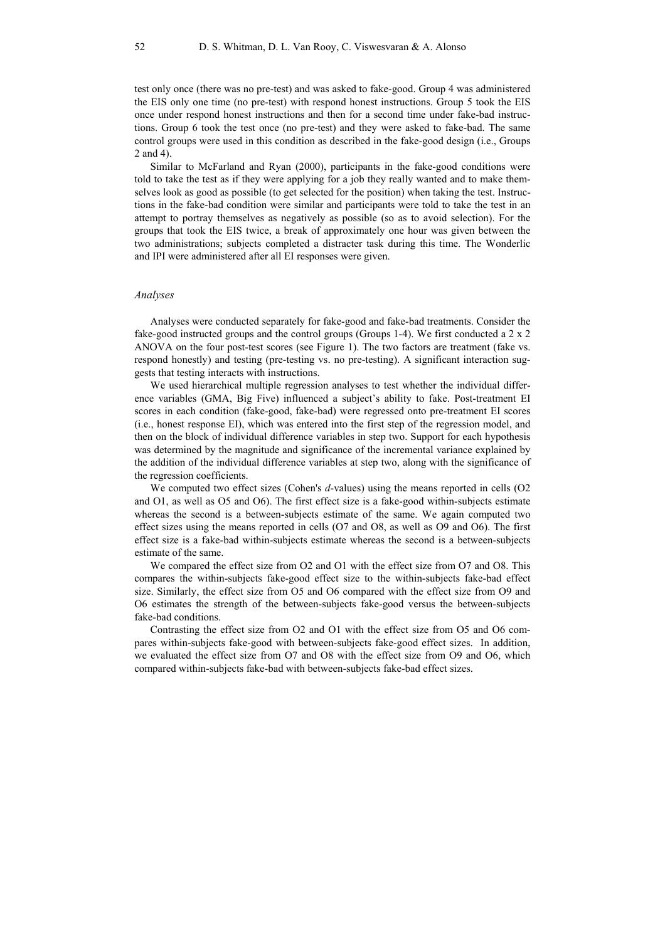test only once (there was no pre-test) and was asked to fake-good. Group 4 was administered the EIS only one time (no pre-test) with respond honest instructions. Group 5 took the EIS once under respond honest instructions and then for a second time under fake-bad instructions. Group 6 took the test once (no pre-test) and they were asked to fake-bad. The same control groups were used in this condition as described in the fake-good design (i.e., Groups 2 and 4).

Similar to McFarland and Ryan (2000), participants in the fake-good conditions were told to take the test as if they were applying for a job they really wanted and to make themselves look as good as possible (to get selected for the position) when taking the test. Instructions in the fake-bad condition were similar and participants were told to take the test in an attempt to portray themselves as negatively as possible (so as to avoid selection). For the groups that took the EIS twice, a break of approximately one hour was given between the two administrations; subjects completed a distracter task during this time. The Wonderlic and IPI were administered after all EI responses were given.

#### *Analyses*

Analyses were conducted separately for fake-good and fake-bad treatments. Consider the fake-good instructed groups and the control groups (Groups 1-4). We first conducted a 2 x 2 ANOVA on the four post-test scores (see Figure 1). The two factors are treatment (fake vs. respond honestly) and testing (pre-testing vs. no pre-testing). A significant interaction suggests that testing interacts with instructions.

We used hierarchical multiple regression analyses to test whether the individual difference variables (GMA, Big Five) influenced a subject's ability to fake. Post-treatment EI scores in each condition (fake-good, fake-bad) were regressed onto pre-treatment EI scores (i.e., honest response EI), which was entered into the first step of the regression model, and then on the block of individual difference variables in step two. Support for each hypothesis was determined by the magnitude and significance of the incremental variance explained by the addition of the individual difference variables at step two, along with the significance of the regression coefficients.

We computed two effect sizes (Cohen's *d*-values) using the means reported in cells (O2 and O1, as well as O5 and O6). The first effect size is a fake-good within-subjects estimate whereas the second is a between-subjects estimate of the same. We again computed two effect sizes using the means reported in cells (O7 and O8, as well as O9 and O6). The first effect size is a fake-bad within-subjects estimate whereas the second is a between-subjects estimate of the same.

We compared the effect size from O2 and O1 with the effect size from O7 and O8. This compares the within-subjects fake-good effect size to the within-subjects fake-bad effect size. Similarly, the effect size from O5 and O6 compared with the effect size from O9 and O6 estimates the strength of the between-subjects fake-good versus the between-subjects fake-bad conditions.

Contrasting the effect size from O2 and O1 with the effect size from O5 and O6 compares within-subjects fake-good with between-subjects fake-good effect sizes. In addition, we evaluated the effect size from O7 and O8 with the effect size from O9 and O6, which compared within-subjects fake-bad with between-subjects fake-bad effect sizes.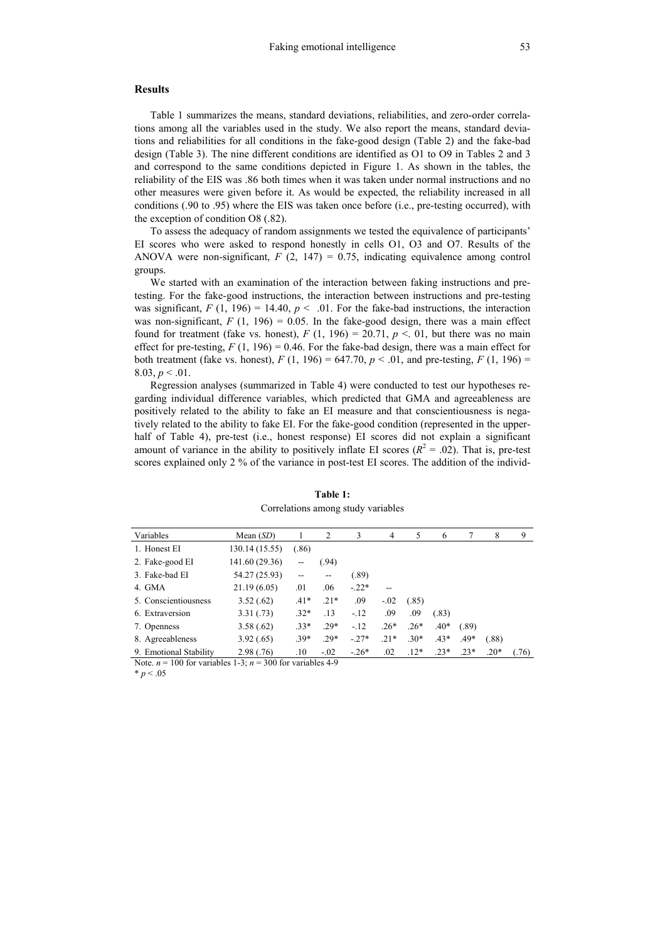## **Results**

Table 1 summarizes the means, standard deviations, reliabilities, and zero-order correlations among all the variables used in the study. We also report the means, standard deviations and reliabilities for all conditions in the fake-good design (Table 2) and the fake-bad design (Table 3). The nine different conditions are identified as O1 to O9 in Tables 2 and 3 and correspond to the same conditions depicted in Figure 1. As shown in the tables, the reliability of the EIS was .86 both times when it was taken under normal instructions and no other measures were given before it. As would be expected, the reliability increased in all conditions (.90 to .95) where the EIS was taken once before (i.e., pre-testing occurred), with the exception of condition O8 (.82).

To assess the adequacy of random assignments we tested the equivalence of participants' EI scores who were asked to respond honestly in cells O1, O3 and O7. Results of the ANOVA were non-significant,  $F(2, 147) = 0.75$ , indicating equivalence among control groups.

We started with an examination of the interaction between faking instructions and pretesting. For the fake-good instructions, the interaction between instructions and pre-testing was significant,  $F(1, 196) = 14.40$ ,  $p < .01$ . For the fake-bad instructions, the interaction was non-significant,  $F(1, 196) = 0.05$ . In the fake-good design, there was a main effect found for treatment (fake vs. honest),  $F(1, 196) = 20.71$ ,  $p < 01$ , but there was no main effect for pre-testing,  $F(1, 196) = 0.46$ . For the fake-bad design, there was a main effect for both treatment (fake vs. honest),  $F(1, 196) = 647.70$ ,  $p < .01$ , and pre-testing,  $F(1, 196) =$  $8.03, p \leq .01$ .

Regression analyses (summarized in Table 4) were conducted to test our hypotheses regarding individual difference variables, which predicted that GMA and agreeableness are positively related to the ability to fake an EI measure and that conscientiousness is negatively related to the ability to fake EI. For the fake-good condition (represented in the upperhalf of Table 4), pre-test (i.e., honest response) EI scores did not explain a significant amount of variance in the ability to positively inflate EI scores  $(R^2 = .02)$ . That is, pre-test scores explained only 2 % of the variance in post-test EI scores. The addition of the individ-

| Variables              | Mean $(SD)$    | ı      | 2      | 3       | 4      | 5      | 6      |        | 8      | 9     |
|------------------------|----------------|--------|--------|---------|--------|--------|--------|--------|--------|-------|
| 1. Honest EI           | 130.14 (15.55) | .86)   |        |         |        |        |        |        |        |       |
| 2. Fake-good EI        | 141.60 (29.36) | --     | (.94)  |         |        |        |        |        |        |       |
| 3. Fake-bad EI         | 54.27 (25.93)  | --     | --     | (.89)   |        |        |        |        |        |       |
| 4. GMA                 | 21.19(6.05)    | .01    | .06    | $-.22*$ |        |        |        |        |        |       |
| 5. Conscientiousness   | 3.52(.62)      | $.41*$ | $.21*$ | .09     | $-.02$ | (.85)  |        |        |        |       |
| 6. Extraversion        | 3.31(.73)      | $.32*$ | .13    | $-12$   | .09    | .09    | (.83)  |        |        |       |
| 7. Openness            | 3.58(.62)      | $.33*$ | $.29*$ | $-.12$  | $.26*$ | $.26*$ | $.40*$ | (.89)  |        |       |
| 8. Agreeableness       | 3.92(.65)      | $.39*$ | $.29*$ | $-.27*$ | $.21*$ | $.30*$ | $.43*$ | $.49*$ | (.88)  |       |
| 9. Emotional Stability | 2.98(.76)      | .10    | $-.02$ | $-.26*$ | .02    | $.12*$ | $.23*$ | $.23*$ | $.20*$ | (.76) |

**Table 1:**  Correlations among study variables

Note.  $n = 100$  for variables 1-3;  $n = 300$  for variables 4-9

 $* p < .05$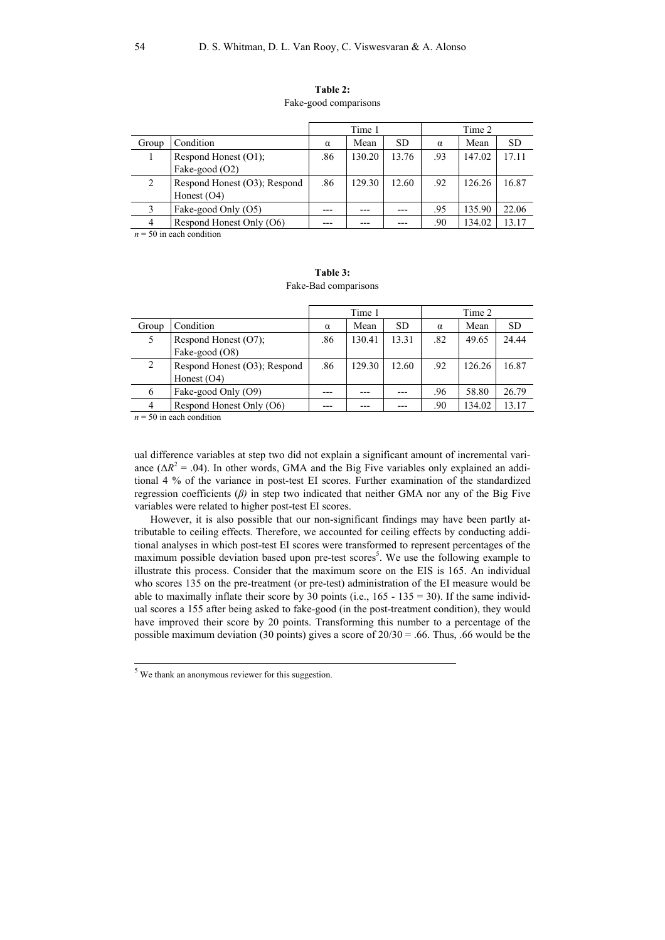## **Table 2:**

## Fake-good comparisons

|             |                                                                                                                 |          | Time 1 |           | Time 2   |        |           |
|-------------|-----------------------------------------------------------------------------------------------------------------|----------|--------|-----------|----------|--------|-----------|
| Group       | Condition                                                                                                       | $\alpha$ | Mean   | <b>SD</b> | $\alpha$ | Mean   | <b>SD</b> |
|             | Respond Honest (O1);                                                                                            | .86      | 130.20 | 13.76     | .93      | 147.02 | 17.11     |
|             | Fake-good (O2)                                                                                                  |          |        |           |          |        |           |
| 2           | Respond Honest (O3); Respond                                                                                    | .86      | 129.30 | 12.60     | .92      | 126.26 | 16.87     |
|             | Honest $(O4)$                                                                                                   |          |        |           |          |        |           |
|             | Fake-good Only (O5)                                                                                             |          |        |           | .95      | 135.90 | 22.06     |
| 4           | Respond Honest Only (O6)                                                                                        |          |        |           | .90      | 134.02 | 13.17     |
| $-\wedge$ . | the contract of the contract of the contract of the contract of the contract of the contract of the contract of |          |        |           |          |        |           |

 $n = 50$  in each condition

## **Table 3:**  Fake-Bad comparisons

|                |                              | Time 1 |        | Time 2    |          |        |           |
|----------------|------------------------------|--------|--------|-----------|----------|--------|-----------|
| Group          | Condition                    | α      | Mean   | <b>SD</b> | $\alpha$ | Mean   | <b>SD</b> |
|                | Respond Honest (O7);         | .86    | 130.41 | 13.31     | .82      | 49.65  | 24.44     |
|                | Fake-good (O8)               |        |        |           |          |        |           |
| 2              | Respond Honest (O3); Respond | .86    | 129.30 | 12.60     | .92      | 126.26 | 16.87     |
|                | Honest $(O4)$                |        |        |           |          |        |           |
| 6              | Fake-good Only (O9)          |        |        |           | .96      | 58.80  | 26.79     |
| $\overline{4}$ | Respond Honest Only (O6)     |        |        |           | .90      | 134.02 | 13.17     |

 $n = 50$  in each condition

ual difference variables at step two did not explain a significant amount of incremental variance ( $\Delta R^2$  = .04). In other words, GMA and the Big Five variables only explained an additional 4 % of the variance in post-test EI scores. Further examination of the standardized regression coefficients (*β)* in step two indicated that neither GMA nor any of the Big Five variables were related to higher post-test EI scores.

However, it is also possible that our non-significant findings may have been partly attributable to ceiling effects. Therefore, we accounted for ceiling effects by conducting additional analyses in which post-test EI scores were transformed to represent percentages of the maximum possible deviation based upon pre-test scores<sup>5</sup>. We use the following example to illustrate this process. Consider that the maximum score on the EIS is 165. An individual who scores 135 on the pre-treatment (or pre-test) administration of the EI measure would be able to maximally inflate their score by 30 points (i.e.,  $165 - 135 = 30$ ). If the same individual scores a 155 after being asked to fake-good (in the post-treatment condition), they would have improved their score by 20 points. Transforming this number to a percentage of the possible maximum deviation (30 points) gives a score of  $20/30 = .66$ . Thus, .66 would be the

 <sup>5</sup>  $<sup>5</sup>$  We thank an anonymous reviewer for this suggestion.</sup>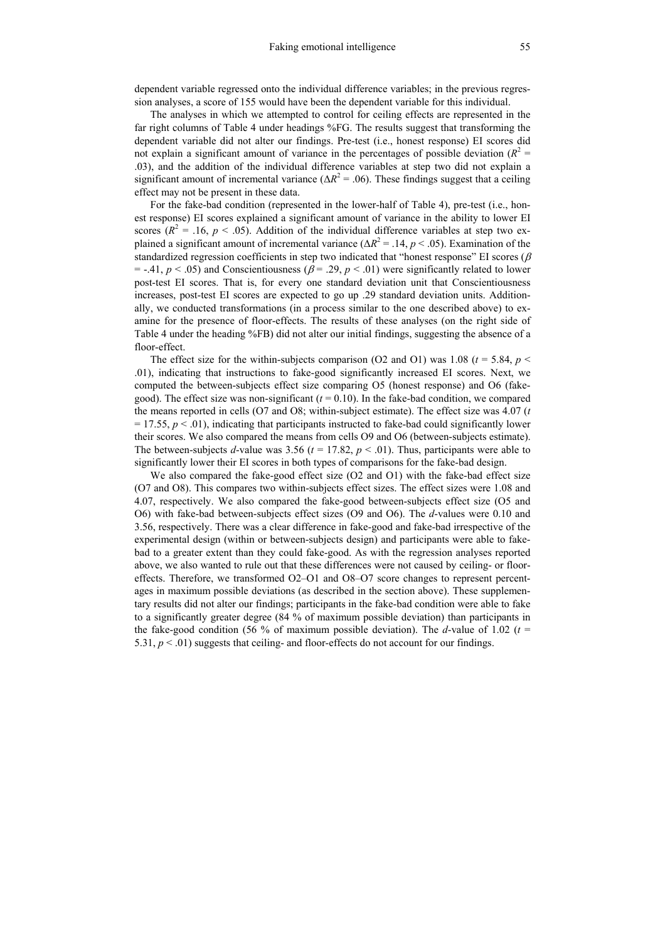dependent variable regressed onto the individual difference variables; in the previous regression analyses, a score of 155 would have been the dependent variable for this individual.

The analyses in which we attempted to control for ceiling effects are represented in the far right columns of Table 4 under headings %FG. The results suggest that transforming the dependent variable did not alter our findings. Pre-test (i.e., honest response) EI scores did not explain a significant amount of variance in the percentages of possible deviation  $(R^2 =$ .03), and the addition of the individual difference variables at step two did not explain a significant amount of incremental variance  $(\Delta R^2 = .06)$ . These findings suggest that a ceiling effect may not be present in these data.

For the fake-bad condition (represented in the lower-half of Table 4), pre-test (i.e., honest response) EI scores explained a significant amount of variance in the ability to lower EI scores ( $R^2 = 0.16$ ,  $p < 0.05$ ). Addition of the individual difference variables at step two explained a significant amount of incremental variance ( $\Delta R^2 = .14$ ,  $p < .05$ ). Examination of the standardized regression coefficients in step two indicated that "honest response" EI scores ( $\beta$ )  $=$  -.41,  $p < .05$ ) and Conscientiousness ( $\beta = .29$ ,  $p < .01$ ) were significantly related to lower post-test EI scores. That is, for every one standard deviation unit that Conscientiousness increases, post-test EI scores are expected to go up .29 standard deviation units. Additionally, we conducted transformations (in a process similar to the one described above) to examine for the presence of floor-effects. The results of these analyses (on the right side of Table 4 under the heading %FB) did not alter our initial findings, suggesting the absence of a floor-effect.

The effect size for the within-subjects comparison (O2 and O1) was 1.08 ( $t = 5.84$ ,  $p <$ .01), indicating that instructions to fake-good significantly increased EI scores. Next, we computed the between-subjects effect size comparing O5 (honest response) and O6 (fakegood). The effect size was non-significant  $(t = 0.10)$ . In the fake-bad condition, we compared the means reported in cells (O7 and O8; within-subject estimate). The effect size was 4.07 (*t*  $= 17.55$ ,  $p < .01$ ), indicating that participants instructed to fake-bad could significantly lower their scores. We also compared the means from cells O9 and O6 (between-subjects estimate). The between-subjects *d*-value was 3.56 ( $t = 17.82$ ,  $p < .01$ ). Thus, participants were able to significantly lower their EI scores in both types of comparisons for the fake-bad design.

We also compared the fake-good effect size (O2 and O1) with the fake-bad effect size (O7 and O8). This compares two within-subjects effect sizes. The effect sizes were 1.08 and 4.07, respectively. We also compared the fake-good between-subjects effect size (O5 and O6) with fake-bad between-subjects effect sizes (O9 and O6). The *d*-values were 0.10 and 3.56, respectively. There was a clear difference in fake-good and fake-bad irrespective of the experimental design (within or between-subjects design) and participants were able to fakebad to a greater extent than they could fake-good. As with the regression analyses reported above, we also wanted to rule out that these differences were not caused by ceiling- or flooreffects. Therefore, we transformed O2–O1 and O8–O7 score changes to represent percentages in maximum possible deviations (as described in the section above). These supplementary results did not alter our findings; participants in the fake-bad condition were able to fake to a significantly greater degree (84 % of maximum possible deviation) than participants in the fake-good condition (56 % of maximum possible deviation). The *d*-value of 1.02 ( $t =$ 5.31,  $p < 0.01$ ) suggests that ceiling- and floor-effects do not account for our findings.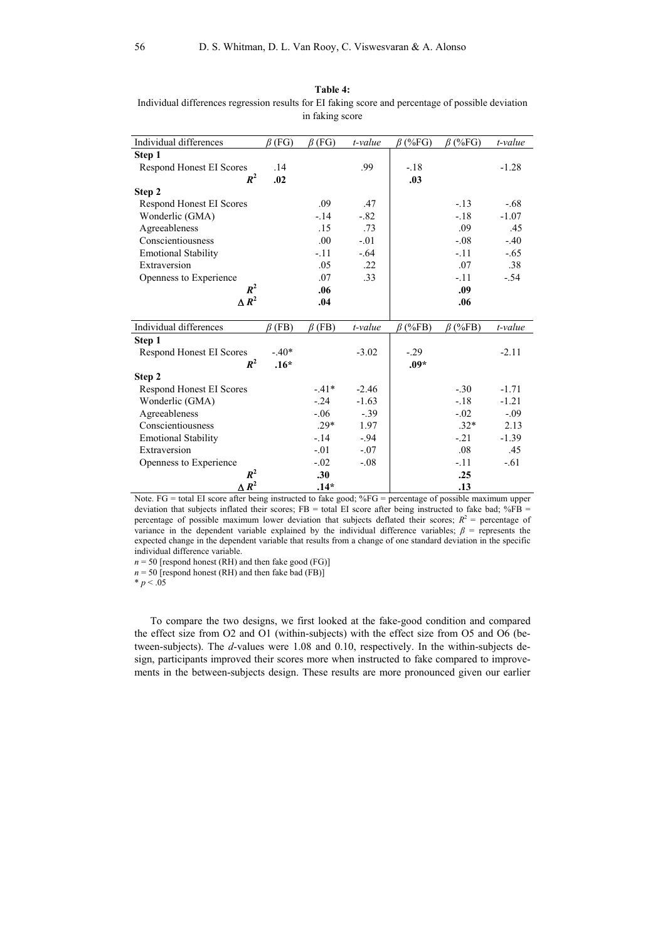**Table 4:** 

Individual differences regression results for EI faking score and percentage of possible deviation in faking score

| Individual differences          | $\beta$ (FG) | $\beta$ (FG) | t-value | $\beta$ (%FG) | $\beta$ (%FG) | t-value |
|---------------------------------|--------------|--------------|---------|---------------|---------------|---------|
| Step 1                          |              |              |         |               |               |         |
| Respond Honest EI Scores        | .14          |              | .99     | $-.18$        |               | $-1.28$ |
| $R^2$                           | .02          |              |         | .03           |               |         |
| Step 2                          |              |              |         |               |               |         |
| Respond Honest EI Scores        |              | .09          | .47     |               | $-.13$        | $-.68$  |
| Wonderlic (GMA)                 |              | $-.14$       | $-.82$  |               | $-18$         | $-1.07$ |
| Agreeableness                   |              | .15          | .73     |               | .09           | .45     |
| Conscientiousness               |              | .00          | $-.01$  |               | $-.08$        | $-40$   |
| <b>Emotional Stability</b>      |              | $-.11$       | $-.64$  |               | $-.11$        | $-.65$  |
| Extraversion                    |              | .05          | .22     |               | .07           | .38     |
| Openness to Experience          |              | .07          | .33     |               | $-.11$        | $-.54$  |
| $R^2$                           |              | .06          |         |               | .09           |         |
| $\triangle R^2$                 |              | .04          |         |               | .06           |         |
|                                 |              |              |         |               |               |         |
| Individual differences          | $\beta$ (FB) | $\beta$ (FB) | t-value | $\beta$ (%FB) | $\beta$ (%FB) | t-value |
| Step 1                          |              |              |         |               |               |         |
| Respond Honest EI Scores        | $-.40*$      |              | $-3.02$ | $-.29$        |               | $-2.11$ |
| $R^2$                           | $.16*$       |              |         | $.09*$        |               |         |
| Step 2                          |              |              |         |               |               |         |
| <b>Respond Honest EI Scores</b> |              | $-41*$       | $-2.46$ |               | $-.30$        | $-1.71$ |
| Wonderlic (GMA)                 |              | $-.24$       | $-1.63$ |               | $-18$         | $-1.21$ |
| Agreeableness                   |              | $-.06$       | $-.39$  |               | $-.02$        | $-.09$  |
| Conscientiousness               |              |              |         |               |               |         |
|                                 |              | $.29*$       | 1.97    |               | $.32*$        | 2.13    |
| <b>Emotional Stability</b>      |              | $-.14$       | $-.94$  |               | $-21$         | $-1.39$ |
| Extraversion                    |              | $-.01$       | $-.07$  |               | .08           | .45     |
| Openness to Experience          |              | $-.02$       | $-.08$  |               | $-.11$        | $-.61$  |
| $R^2$<br>$\triangle R^2$        |              | .30          |         |               | .25           |         |

Note. FG = total EI score after being instructed to fake good; %FG = percentage of possible maximum upper deviation that subjects inflated their scores; FB = total EI score after being instructed to fake bad;  $\%$ FB = percentage of possible maximum lower deviation that subjects deflated their scores;  $R^2$  = percentage of variance in the dependent variable explained by the individual difference variables;  $\beta$  = represents the expected change in the dependent variable that results from a change of one standard deviation in the specific individual difference variable.

 $n = 50$  [respond honest (RH) and then fake good (FG)]  $n = 50$  [respond honest (RH) and then fake bad (FB)]

 $* p < .05$ 

To compare the two designs, we first looked at the fake-good condition and compared the effect size from O2 and O1 (within-subjects) with the effect size from O5 and O6 (between-subjects). The *d*-values were 1.08 and 0.10, respectively. In the within-subjects design, participants improved their scores more when instructed to fake compared to improvements in the between-subjects design. These results are more pronounced given our earlier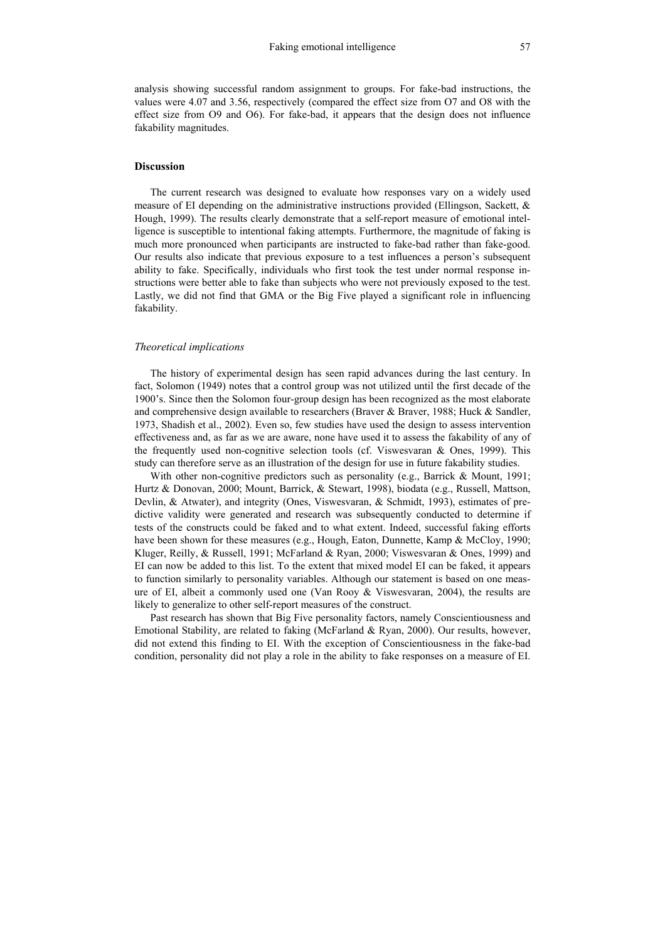analysis showing successful random assignment to groups. For fake-bad instructions, the values were 4.07 and 3.56, respectively (compared the effect size from O7 and O8 with the effect size from O9 and O6). For fake-bad, it appears that the design does not influence fakability magnitudes.

## **Discussion**

The current research was designed to evaluate how responses vary on a widely used measure of EI depending on the administrative instructions provided (Ellingson, Sackett,  $\&$ Hough, 1999). The results clearly demonstrate that a self-report measure of emotional intelligence is susceptible to intentional faking attempts. Furthermore, the magnitude of faking is much more pronounced when participants are instructed to fake-bad rather than fake-good. Our results also indicate that previous exposure to a test influences a person's subsequent ability to fake. Specifically, individuals who first took the test under normal response instructions were better able to fake than subjects who were not previously exposed to the test. Lastly, we did not find that GMA or the Big Five played a significant role in influencing fakability.

### *Theoretical implications*

The history of experimental design has seen rapid advances during the last century. In fact, Solomon (1949) notes that a control group was not utilized until the first decade of the 1900's. Since then the Solomon four-group design has been recognized as the most elaborate and comprehensive design available to researchers (Braver & Braver, 1988; Huck & Sandler, 1973, Shadish et al., 2002). Even so, few studies have used the design to assess intervention effectiveness and, as far as we are aware, none have used it to assess the fakability of any of the frequently used non-cognitive selection tools (cf. Viswesvaran & Ones, 1999). This study can therefore serve as an illustration of the design for use in future fakability studies.

With other non-cognitive predictors such as personality (e.g., Barrick & Mount, 1991; Hurtz & Donovan, 2000; Mount, Barrick, & Stewart, 1998), biodata (e.g., Russell, Mattson, Devlin, & Atwater), and integrity (Ones, Viswesvaran, & Schmidt, 1993), estimates of predictive validity were generated and research was subsequently conducted to determine if tests of the constructs could be faked and to what extent. Indeed, successful faking efforts have been shown for these measures (e.g., Hough, Eaton, Dunnette, Kamp & McCloy, 1990; Kluger, Reilly, & Russell, 1991; McFarland & Ryan, 2000; Viswesvaran & Ones, 1999) and EI can now be added to this list. To the extent that mixed model EI can be faked, it appears to function similarly to personality variables. Although our statement is based on one measure of EI, albeit a commonly used one (Van Rooy  $&$  Viswesvaran, 2004), the results are likely to generalize to other self-report measures of the construct.

Past research has shown that Big Five personality factors, namely Conscientiousness and Emotional Stability, are related to faking (McFarland & Ryan, 2000). Our results, however, did not extend this finding to EI. With the exception of Conscientiousness in the fake-bad condition, personality did not play a role in the ability to fake responses on a measure of EI.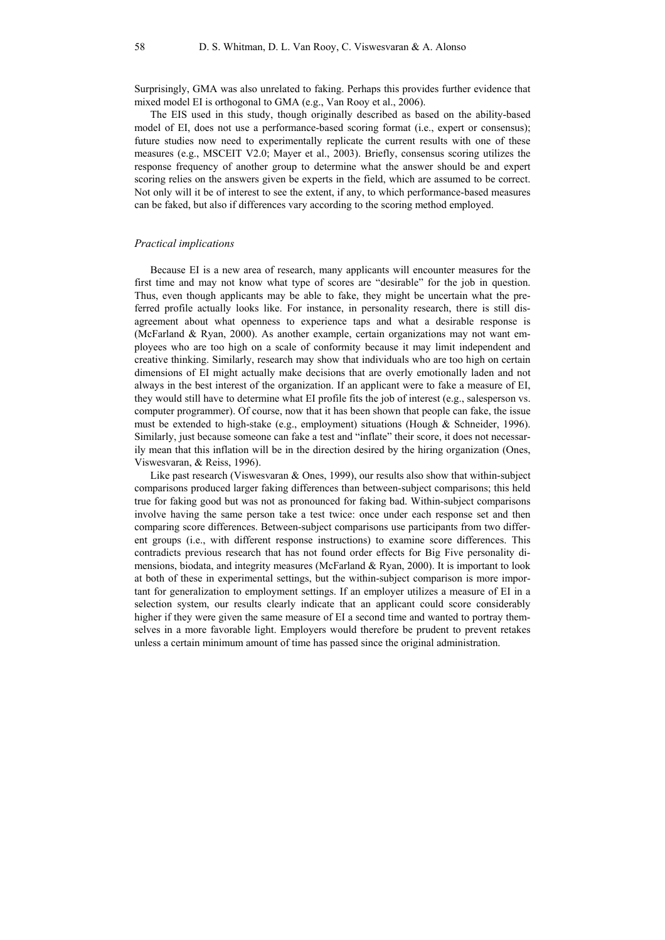Surprisingly, GMA was also unrelated to faking. Perhaps this provides further evidence that mixed model EI is orthogonal to GMA (e.g., Van Rooy et al., 2006).

The EIS used in this study, though originally described as based on the ability-based model of EI, does not use a performance-based scoring format (i.e., expert or consensus); future studies now need to experimentally replicate the current results with one of these measures (e.g., MSCEIT V2.0; Mayer et al., 2003). Briefly, consensus scoring utilizes the response frequency of another group to determine what the answer should be and expert scoring relies on the answers given be experts in the field, which are assumed to be correct. Not only will it be of interest to see the extent, if any, to which performance-based measures can be faked, but also if differences vary according to the scoring method employed.

### *Practical implications*

Because EI is a new area of research, many applicants will encounter measures for the first time and may not know what type of scores are "desirable" for the job in question. Thus, even though applicants may be able to fake, they might be uncertain what the preferred profile actually looks like. For instance, in personality research, there is still disagreement about what openness to experience taps and what a desirable response is (McFarland & Ryan, 2000). As another example, certain organizations may not want employees who are too high on a scale of conformity because it may limit independent and creative thinking. Similarly, research may show that individuals who are too high on certain dimensions of EI might actually make decisions that are overly emotionally laden and not always in the best interest of the organization. If an applicant were to fake a measure of EI, they would still have to determine what EI profile fits the job of interest (e.g., salesperson vs. computer programmer). Of course, now that it has been shown that people can fake, the issue must be extended to high-stake (e.g., employment) situations (Hough & Schneider, 1996). Similarly, just because someone can fake a test and "inflate" their score, it does not necessarily mean that this inflation will be in the direction desired by the hiring organization (Ones, Viswesvaran, & Reiss, 1996).

Like past research (Viswesvaran  $\&$  Ones, 1999), our results also show that within-subject comparisons produced larger faking differences than between-subject comparisons; this held true for faking good but was not as pronounced for faking bad. Within-subject comparisons involve having the same person take a test twice: once under each response set and then comparing score differences. Between-subject comparisons use participants from two different groups (i.e., with different response instructions) to examine score differences. This contradicts previous research that has not found order effects for Big Five personality dimensions, biodata, and integrity measures (McFarland & Ryan, 2000). It is important to look at both of these in experimental settings, but the within-subject comparison is more important for generalization to employment settings. If an employer utilizes a measure of EI in a selection system, our results clearly indicate that an applicant could score considerably higher if they were given the same measure of EI a second time and wanted to portray themselves in a more favorable light. Employers would therefore be prudent to prevent retakes unless a certain minimum amount of time has passed since the original administration.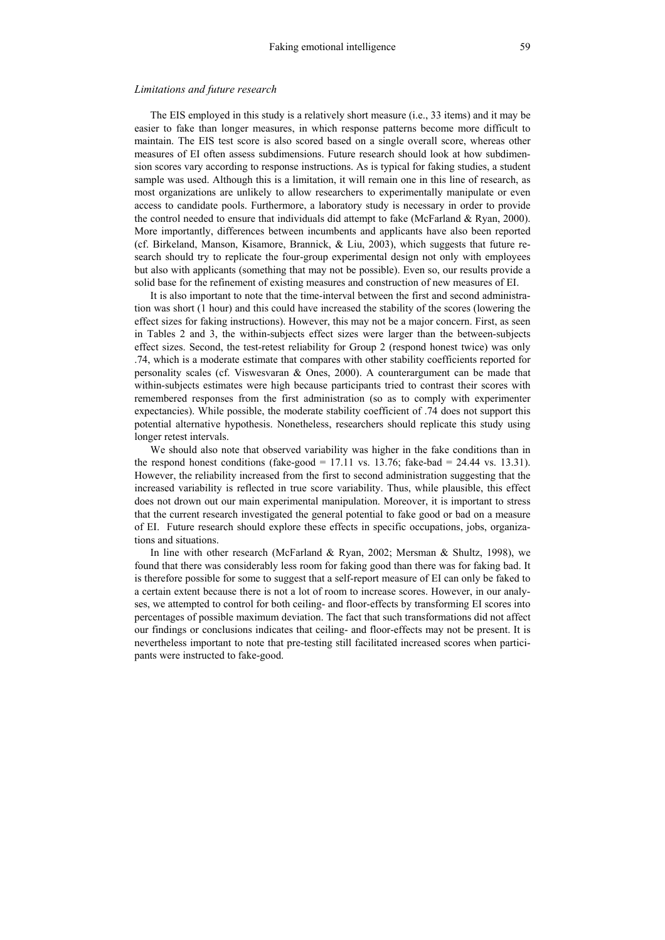#### *Limitations and future research*

The EIS employed in this study is a relatively short measure (i.e., 33 items) and it may be easier to fake than longer measures, in which response patterns become more difficult to maintain. The EIS test score is also scored based on a single overall score, whereas other measures of EI often assess subdimensions. Future research should look at how subdimension scores vary according to response instructions. As is typical for faking studies, a student sample was used. Although this is a limitation, it will remain one in this line of research, as most organizations are unlikely to allow researchers to experimentally manipulate or even access to candidate pools. Furthermore, a laboratory study is necessary in order to provide the control needed to ensure that individuals did attempt to fake (McFarland  $\&$  Ryan, 2000). More importantly, differences between incumbents and applicants have also been reported (cf. Birkeland, Manson, Kisamore, Brannick,  $\&$  Liu, 2003), which suggests that future research should try to replicate the four-group experimental design not only with employees but also with applicants (something that may not be possible). Even so, our results provide a solid base for the refinement of existing measures and construction of new measures of EI.

It is also important to note that the time-interval between the first and second administration was short (1 hour) and this could have increased the stability of the scores (lowering the effect sizes for faking instructions). However, this may not be a major concern. First, as seen in Tables 2 and 3, the within-subjects effect sizes were larger than the between-subjects effect sizes. Second, the test-retest reliability for Group 2 (respond honest twice) was only .74, which is a moderate estimate that compares with other stability coefficients reported for personality scales (cf. Viswesvaran & Ones, 2000). A counterargument can be made that within-subjects estimates were high because participants tried to contrast their scores with remembered responses from the first administration (so as to comply with experimenter expectancies). While possible, the moderate stability coefficient of .74 does not support this potential alternative hypothesis. Nonetheless, researchers should replicate this study using longer retest intervals.

We should also note that observed variability was higher in the fake conditions than in the respond honest conditions (fake-good = 17.11 vs. 13.76; fake-bad = 24.44 vs. 13.31). However, the reliability increased from the first to second administration suggesting that the increased variability is reflected in true score variability. Thus, while plausible, this effect does not drown out our main experimental manipulation. Moreover, it is important to stress that the current research investigated the general potential to fake good or bad on a measure of EI. Future research should explore these effects in specific occupations, jobs, organizations and situations.

In line with other research (McFarland & Ryan, 2002; Mersman & Shultz, 1998), we found that there was considerably less room for faking good than there was for faking bad. It is therefore possible for some to suggest that a self-report measure of EI can only be faked to a certain extent because there is not a lot of room to increase scores. However, in our analyses, we attempted to control for both ceiling- and floor-effects by transforming EI scores into percentages of possible maximum deviation. The fact that such transformations did not affect our findings or conclusions indicates that ceiling- and floor-effects may not be present. It is nevertheless important to note that pre-testing still facilitated increased scores when participants were instructed to fake-good.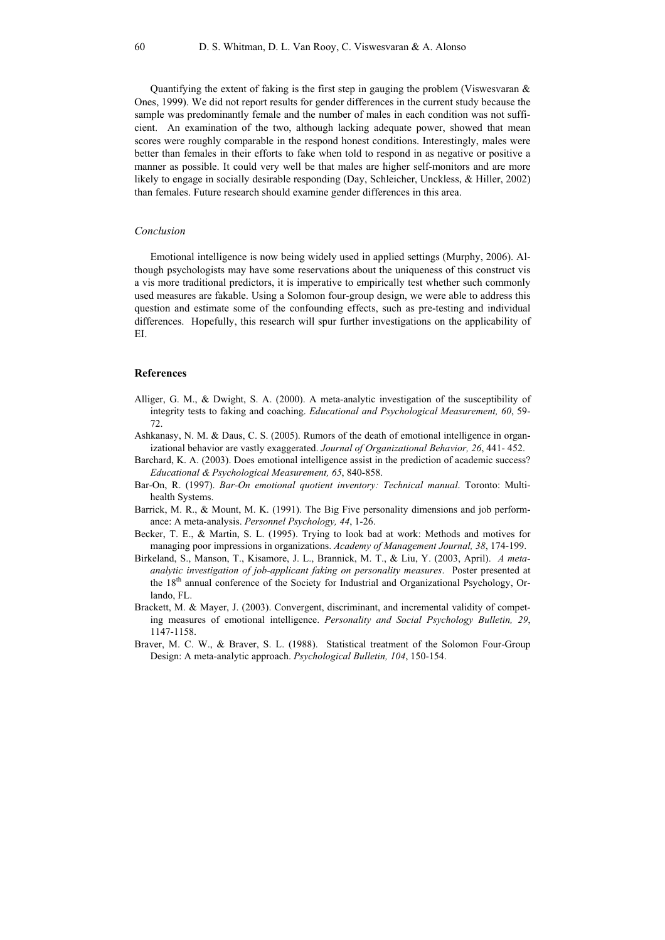Quantifying the extent of faking is the first step in gauging the problem (Viswesvaran  $\&$ Ones, 1999). We did not report results for gender differences in the current study because the sample was predominantly female and the number of males in each condition was not sufficient. An examination of the two, although lacking adequate power, showed that mean scores were roughly comparable in the respond honest conditions. Interestingly, males were better than females in their efforts to fake when told to respond in as negative or positive a manner as possible. It could very well be that males are higher self-monitors and are more likely to engage in socially desirable responding (Day, Schleicher, Unckless, & Hiller, 2002) than females. Future research should examine gender differences in this area.

#### *Conclusion*

Emotional intelligence is now being widely used in applied settings (Murphy, 2006). Although psychologists may have some reservations about the uniqueness of this construct vis a vis more traditional predictors, it is imperative to empirically test whether such commonly used measures are fakable. Using a Solomon four-group design, we were able to address this question and estimate some of the confounding effects, such as pre-testing and individual differences. Hopefully, this research will spur further investigations on the applicability of EI.

## **References**

- Alliger, G. M., & Dwight, S. A. (2000). A meta-analytic investigation of the susceptibility of integrity tests to faking and coaching. *Educational and Psychological Measurement, 60*, 59- 72.
- Ashkanasy, N. M. & Daus, C. S. (2005). Rumors of the death of emotional intelligence in organizational behavior are vastly exaggerated. *Journal of Organizational Behavior, 26*, 441- 452.
- Barchard, K. A. (2003). Does emotional intelligence assist in the prediction of academic success? *Educational & Psychological Measurement, 65*, 840-858.
- Bar-On, R. (1997). *Bar-On emotional quotient inventory: Technical manual*. Toronto: Multihealth Systems.
- Barrick, M. R., & Mount, M. K. (1991). The Big Five personality dimensions and job performance: A meta-analysis. *Personnel Psychology, 44*, 1-26.
- Becker, T. E., & Martin, S. L. (1995). Trying to look bad at work: Methods and motives for managing poor impressions in organizations. *Academy of Management Journal, 38*, 174-199.
- Birkeland, S., Manson, T., Kisamore, J. L., Brannick, M. T., & Liu, Y. (2003, April). *A metaanalytic investigation of job-applicant faking on personality measures*. Poster presented at the 18<sup>th</sup> annual conference of the Society for Industrial and Organizational Psychology, Orlando, FL.
- Brackett, M. & Mayer, J. (2003). Convergent, discriminant, and incremental validity of competing measures of emotional intelligence. *Personality and Social Psychology Bulletin, 29*, 1147-1158.
- Braver, M. C. W., & Braver, S. L. (1988). Statistical treatment of the Solomon Four-Group Design: A meta-analytic approach. *Psychological Bulletin, 104*, 150-154.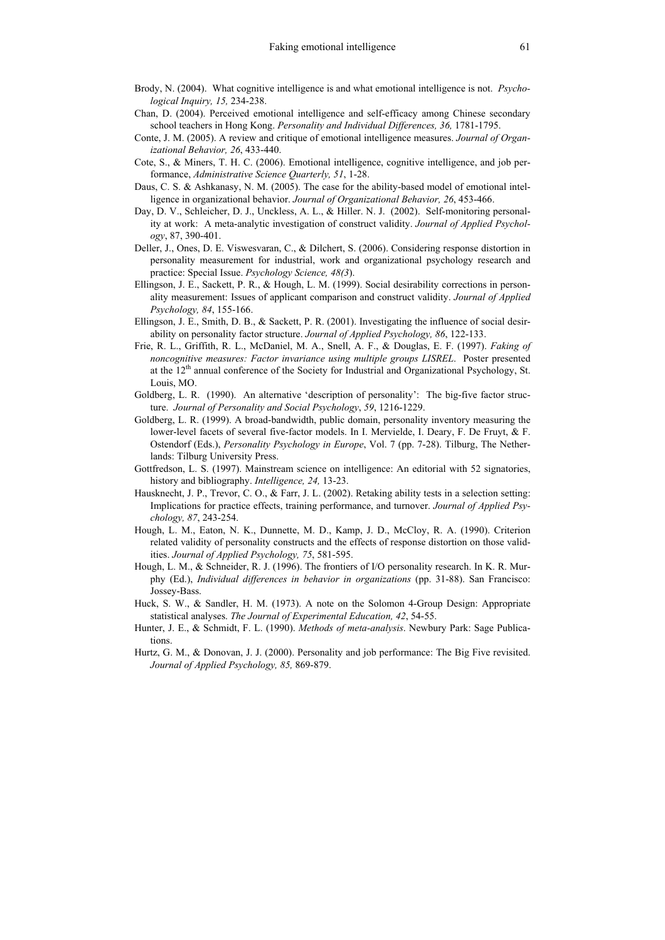- Brody, N. (2004). What cognitive intelligence is and what emotional intelligence is not. *Psychological Inquiry, 15,* 234-238.
- Chan, D. (2004). Perceived emotional intelligence and self-efficacy among Chinese secondary school teachers in Hong Kong. *Personality and Individual Differences, 36,* 1781-1795.
- Conte, J. M. (2005). A review and critique of emotional intelligence measures. *Journal of Organizational Behavior, 26*, 433-440.
- Cote, S., & Miners, T. H. C. (2006). Emotional intelligence, cognitive intelligence, and job performance, *Administrative Science Quarterly, 51*, 1-28.
- Daus, C. S. & Ashkanasy, N. M. (2005). The case for the ability-based model of emotional intelligence in organizational behavior. *Journal of Organizational Behavior, 26*, 453-466.
- Day, D. V., Schleicher, D. J., Unckless, A. L., & Hiller. N. J. (2002). Self-monitoring personality at work: A meta-analytic investigation of construct validity. *Journal of Applied Psychology*, 87, 390-401.
- Deller, J., Ones, D. E. Viswesvaran, C., & Dilchert, S. (2006). Considering response distortion in personality measurement for industrial, work and organizational psychology research and practice: Special Issue. *Psychology Science, 48(3*).
- Ellingson, J. E., Sackett, P. R., & Hough, L. M. (1999). Social desirability corrections in personality measurement: Issues of applicant comparison and construct validity. *Journal of Applied Psychology, 84*, 155-166.
- Ellingson, J. E., Smith, D. B., & Sackett, P. R. (2001). Investigating the influence of social desirability on personality factor structure. *Journal of Applied Psychology, 86*, 122-133.
- Frie, R. L., Griffith, R. L., McDaniel, M. A., Snell, A. F., & Douglas, E. F. (1997). *Faking of noncognitive measures: Factor invariance using multiple groups LISREL*. Poster presented at the  $12<sup>th</sup>$  annual conference of the Society for Industrial and Organizational Psychology, St. Louis, MO.
- Goldberg, L. R. (1990). An alternative 'description of personality': The big-five factor structure. *Journal of Personality and Social Psychology*, *59*, 1216-1229.
- Goldberg, L. R. (1999). A broad-bandwidth, public domain, personality inventory measuring the lower-level facets of several five-factor models. In I. Mervielde, I. Deary, F. De Fruyt, & F. Ostendorf (Eds.), *Personality Psychology in Europe*, Vol. 7 (pp. 7-28). Tilburg, The Netherlands: Tilburg University Press.
- Gottfredson, L. S. (1997). Mainstream science on intelligence: An editorial with 52 signatories, history and bibliography. *Intelligence, 24,* 13-23.
- Hausknecht, J. P., Trevor, C. O., & Farr, J. L. (2002). Retaking ability tests in a selection setting: Implications for practice effects, training performance, and turnover. *Journal of Applied Psychology, 87*, 243-254.
- Hough, L. M., Eaton, N. K., Dunnette, M. D., Kamp, J. D., McCloy, R. A. (1990). Criterion related validity of personality constructs and the effects of response distortion on those validities. *Journal of Applied Psychology, 75*, 581-595.
- Hough, L. M., & Schneider, R. J. (1996). The frontiers of I/O personality research. In K. R. Murphy (Ed.), *Individual differences in behavior in organizations* (pp. 31-88). San Francisco: Jossey-Bass.
- Huck, S. W., & Sandler, H. M. (1973). A note on the Solomon 4-Group Design: Appropriate statistical analyses. *The Journal of Experimental Education, 42*, 54-55.
- Hunter, J. E., & Schmidt, F. L. (1990). *Methods of meta-analysis*. Newbury Park: Sage Publications.
- Hurtz, G. M., & Donovan, J. J. (2000). Personality and job performance: The Big Five revisited. *Journal of Applied Psychology, 85,* 869-879.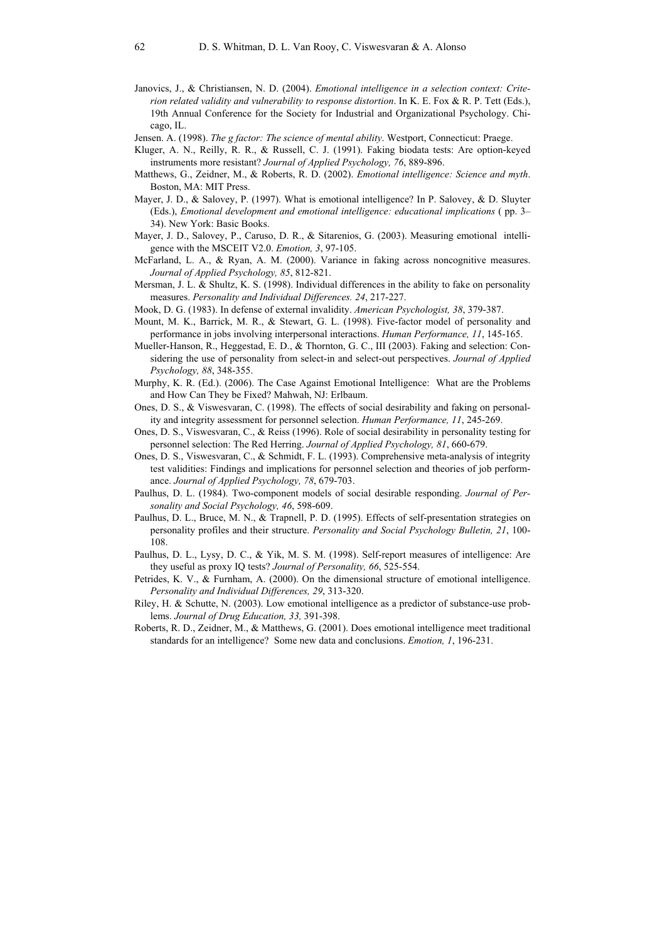- Janovics, J., & Christiansen, N. D. (2004). *Emotional intelligence in a selection context: Criterion related validity and vulnerability to response distortion*. In K. E. Fox & R. P. Tett (Eds.), 19th Annual Conference for the Society for Industrial and Organizational Psychology. Chicago, IL.
- Jensen. A. (1998). *The g factor: The science of mental ability*. Westport, Connecticut: Praege.
- Kluger, A. N., Reilly, R. R., & Russell, C. J. (1991). Faking biodata tests: Are option-keyed instruments more resistant? *Journal of Applied Psychology, 76*, 889-896.
- Matthews, G., Zeidner, M., & Roberts, R. D. (2002). *Emotional intelligence: Science and myth*. Boston, MA: MIT Press.
- Mayer, J. D., & Salovey, P. (1997). What is emotional intelligence? In P. Salovey, & D. Sluyter (Eds.), *Emotional development and emotional intelligence: educational implications* ( pp. 3– 34). New York: Basic Books.
- Mayer, J. D., Salovey, P., Caruso, D. R., & Sitarenios, G. (2003). Measuring emotional intelligence with the MSCEIT V2.0. *Emotion, 3*, 97-105.
- McFarland, L. A., & Ryan, A. M. (2000). Variance in faking across noncognitive measures. *Journal of Applied Psychology, 85*, 812-821.
- Mersman, J. L. & Shultz, K. S. (1998). Individual differences in the ability to fake on personality measures. *Personality and Individual Differences. 24*, 217-227.
- Mook, D. G. (1983). In defense of external invalidity. *American Psychologist, 38*, 379-387.
- Mount, M. K., Barrick, M. R., & Stewart, G. L. (1998). Five-factor model of personality and performance in jobs involving interpersonal interactions. *Human Performance, 11*, 145-165.
- Mueller-Hanson, R., Heggestad, E. D., & Thornton, G. C., III (2003). Faking and selection: Considering the use of personality from select-in and select-out perspectives. *Journal of Applied Psychology, 88*, 348-355.
- Murphy, K. R. (Ed.). (2006). The Case Against Emotional Intelligence: What are the Problems and How Can They be Fixed? Mahwah, NJ: Erlbaum.
- Ones, D. S., & Viswesvaran, C. (1998). The effects of social desirability and faking on personality and integrity assessment for personnel selection. *Human Performance, 11*, 245-269.
- Ones, D. S., Viswesvaran, C., & Reiss (1996). Role of social desirability in personality testing for personnel selection: The Red Herring. *Journal of Applied Psychology, 81*, 660-679.
- Ones, D. S., Viswesvaran, C., & Schmidt, F. L. (1993). Comprehensive meta-analysis of integrity test validities: Findings and implications for personnel selection and theories of job performance. *Journal of Applied Psychology, 78*, 679-703.
- Paulhus, D. L. (1984). Two-component models of social desirable responding. *Journal of Personality and Social Psychology, 46*, 598-609.
- Paulhus, D. L., Bruce, M. N., & Trapnell, P. D. (1995). Effects of self-presentation strategies on personality profiles and their structure. *Personality and Social Psychology Bulletin, 21*, 100- 108.
- Paulhus, D. L., Lysy, D. C., & Yik, M. S. M. (1998). Self-report measures of intelligence: Are they useful as proxy IQ tests? *Journal of Personality, 66*, 525-554.
- Petrides, K. V., & Furnham, A. (2000). On the dimensional structure of emotional intelligence. *Personality and Individual Differences, 29*, 313-320.
- Riley, H. & Schutte, N. (2003). Low emotional intelligence as a predictor of substance-use problems. *Journal of Drug Education, 33,* 391-398.
- Roberts, R. D., Zeidner, M., & Matthews, G. (2001). Does emotional intelligence meet traditional standards for an intelligence? Some new data and conclusions. *Emotion, 1*, 196-231.